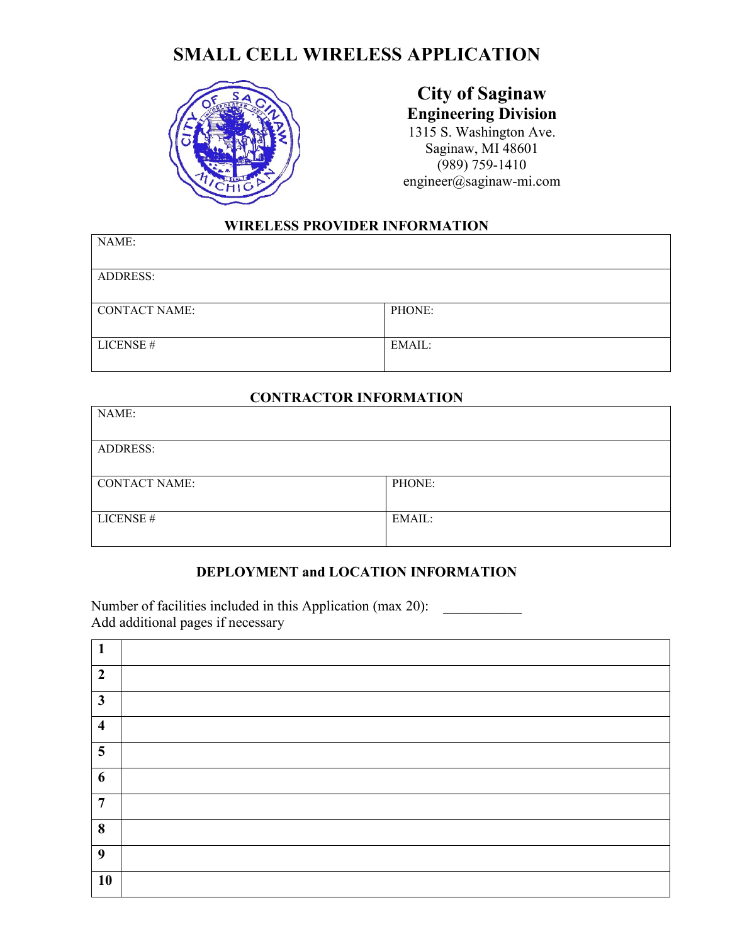

#### **City of Saginaw Engineering Division**  1315 S. Washington Ave. Saginaw, MI 48601 (989) 759-1410 engineer@saginaw-mi.com

#### **WIRELESS PROVIDER INFORMATION**

| NAME:                |        |
|----------------------|--------|
| <b>ADDRESS:</b>      |        |
| <b>CONTACT NAME:</b> | PHONE: |
| LICENSE #            | EMAIL: |

#### **CONTRACTOR INFORMATION**

| NAME:                |        |
|----------------------|--------|
| <b>ADDRESS:</b>      |        |
| <b>CONTACT NAME:</b> | PHONE: |
| LICENSE#             | EMAIL: |

#### **DEPLOYMENT and LOCATION INFORMATION**

Number of facilities included in this Application (max 20): \_\_\_\_\_\_\_\_\_\_\_\_\_\_\_\_\_\_\_\_<br>Add additional pages if necessary

| $\mathbf{1}$            |  |
|-------------------------|--|
| $\overline{2}$          |  |
| $\mathbf{3}$            |  |
| $\overline{\mathbf{4}}$ |  |
| 5                       |  |
| 6                       |  |
| $\overline{7}$          |  |
| 8                       |  |
| 9                       |  |
| 10                      |  |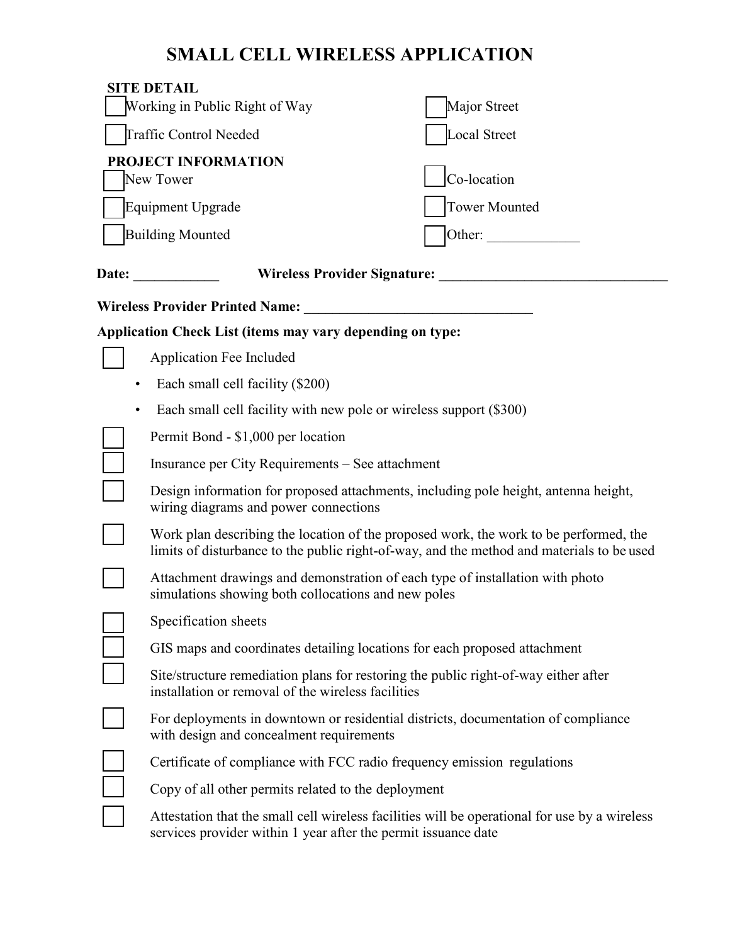|           | <b>SITE DETAIL</b><br>Working in Public Right of Way                                                                                      | Major Street                                                                                                                                                                       |
|-----------|-------------------------------------------------------------------------------------------------------------------------------------------|------------------------------------------------------------------------------------------------------------------------------------------------------------------------------------|
|           | Traffic Control Needed                                                                                                                    | Local Street                                                                                                                                                                       |
|           | PROJECT INFORMATION<br>New Tower                                                                                                          | Co-location                                                                                                                                                                        |
|           | <b>Equipment Upgrade</b>                                                                                                                  | <b>Tower Mounted</b>                                                                                                                                                               |
|           | <b>Building Mounted</b>                                                                                                                   | Other:                                                                                                                                                                             |
|           | <b>Wireless Provider Signature:</b><br>Date: ________                                                                                     |                                                                                                                                                                                    |
|           | <b>Wireless Provider Printed Name:</b>                                                                                                    |                                                                                                                                                                                    |
|           | <b>Application Check List (items may vary depending on type:</b>                                                                          |                                                                                                                                                                                    |
|           | Application Fee Included                                                                                                                  |                                                                                                                                                                                    |
| ٠         | Each small cell facility (\$200)                                                                                                          |                                                                                                                                                                                    |
| $\bullet$ | Each small cell facility with new pole or wireless support (\$300)                                                                        |                                                                                                                                                                                    |
|           | Permit Bond - \$1,000 per location                                                                                                        |                                                                                                                                                                                    |
|           | Insurance per City Requirements – See attachment                                                                                          |                                                                                                                                                                                    |
|           | wiring diagrams and power connections                                                                                                     | Design information for proposed attachments, including pole height, antenna height,                                                                                                |
|           |                                                                                                                                           | Work plan describing the location of the proposed work, the work to be performed, the<br>limits of disturbance to the public right-of-way, and the method and materials to be used |
|           | Attachment drawings and demonstration of each type of installation with photo<br>simulations showing both collocations and new poles      |                                                                                                                                                                                    |
|           | Specification sheets                                                                                                                      |                                                                                                                                                                                    |
|           | GIS maps and coordinates detailing locations for each proposed attachment                                                                 |                                                                                                                                                                                    |
|           | Site/structure remediation plans for restoring the public right-of-way either after<br>installation or removal of the wireless facilities |                                                                                                                                                                                    |
|           | with design and concealment requirements                                                                                                  | For deployments in downtown or residential districts, documentation of compliance                                                                                                  |
|           | Certificate of compliance with FCC radio frequency emission regulations                                                                   |                                                                                                                                                                                    |
|           | Copy of all other permits related to the deployment                                                                                       |                                                                                                                                                                                    |
|           | services provider within 1 year after the permit issuance date                                                                            | Attestation that the small cell wireless facilities will be operational for use by a wireless                                                                                      |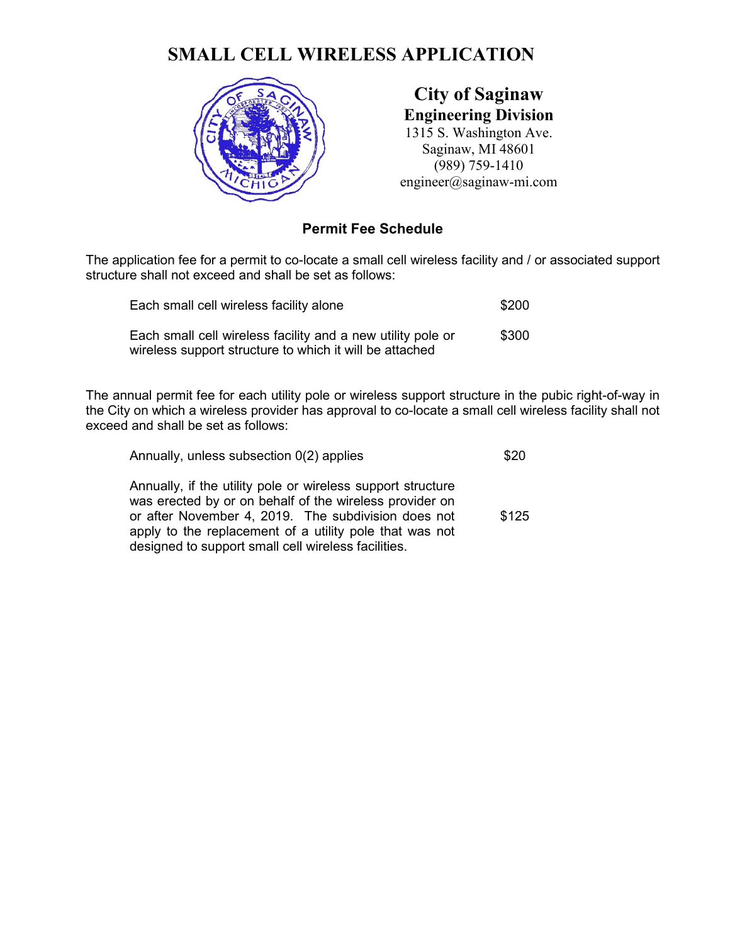

**City of Saginaw Engineering Division**  1315 S. Washington Ave. Saginaw, MI 48601 (989) 759-1410 engineer@saginaw-mi.com

#### **Permit Fee Schedule**

The application fee for a permit to co-locate a small cell wireless facility and / or associated support structure shall not exceed and shall be set as follows:

| Each small cell wireless facility alone                                                                                | \$200 |
|------------------------------------------------------------------------------------------------------------------------|-------|
| Each small cell wireless facility and a new utility pole or<br>wireless support structure to which it will be attached | \$300 |

 The annual permit fee for each utility pole or wireless support structure in the pubic right-of-way in exceed and shall be set as follows: the City on which a wireless provider has approval to co-locate a small cell wireless facility shall not

| Annually, unless subsection $O(2)$ applies                                                                                                                                                                                                                                                      | \$20  |
|-------------------------------------------------------------------------------------------------------------------------------------------------------------------------------------------------------------------------------------------------------------------------------------------------|-------|
| Annually, if the utility pole or wireless support structure<br>was erected by or on behalf of the wireless provider on<br>or after November 4, 2019. The subdivision does not<br>apply to the replacement of a utility pole that was not<br>designed to support small cell wireless facilities. | \$125 |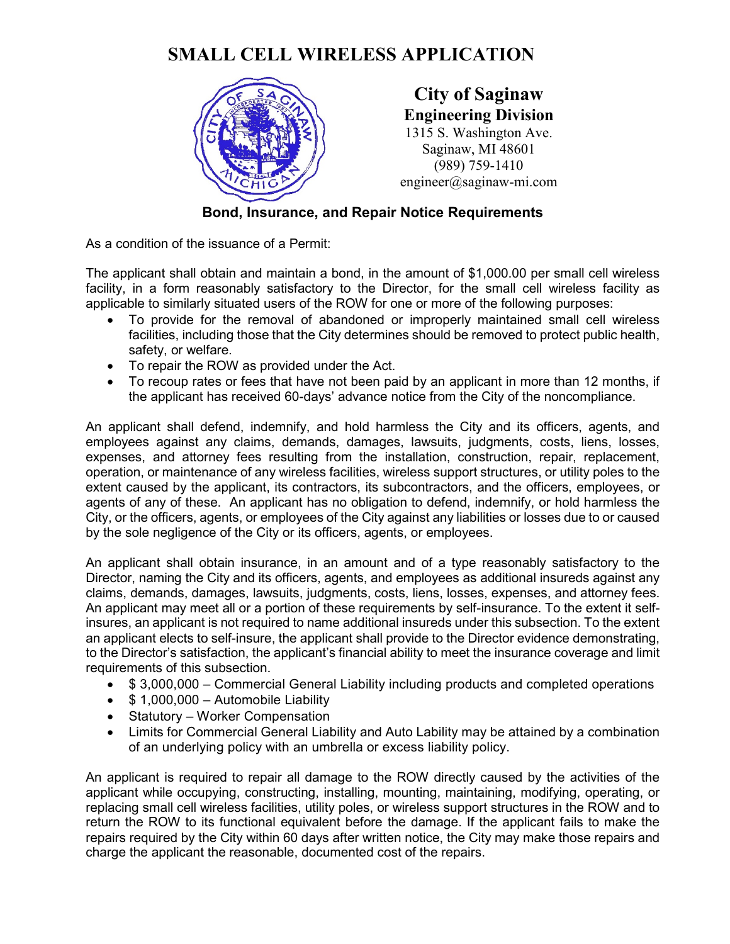

**City of Saginaw Engineering Division**  1315 S. Washington Ave. Saginaw, MI 48601 (989) 759-1410 engineer@saginaw-mi.com

### **Bond, Insurance, and Repair Notice Requirements**

As a condition of the issuance of a Permit:

 facility, in a form reasonably satisfactory to the Director, for the small cell wireless facility as applicable to similarly situated users of the ROW for one or more of the following purposes: The applicant shall obtain and maintain a bond, in the amount of \$1,000.00 per small cell wireless

- To provide for the removal of abandoned or improperly maintained small cell wireless facilities, including those that the City determines should be removed to protect public health, safety, or welfare.
- To repair the ROW as provided under the Act.
- To recoup rates or fees that have not been paid by an applicant in more than 12 months, if the applicant has received 60-days' advance notice from the City of the noncompliance.

 employees against any claims, demands, damages, lawsuits, judgments, costs, liens, losses, expenses, and attorney fees resulting from the installation, construction, repair, replacement, operation, or maintenance of any wireless facilities, wireless support structures, or utility poles to the agents of any of these. An applicant has no obligation to defend, indemnify, or hold harmless the An applicant shall defend, indemnify, and hold harmless the City and its officers, agents, and extent caused by the applicant, its contractors, its subcontractors, and the officers, employees, or City, or the officers, agents, or employees of the City against any liabilities or losses due to or caused by the sole negligence of the City or its officers, agents, or employees.

 An applicant shall obtain insurance, in an amount and of a type reasonably satisfactory to the claims, demands, damages, lawsuits, judgments, costs, liens, losses, expenses, and attorney fees. Director, naming the City and its officers, agents, and employees as additional insureds against any An applicant may meet all or a portion of these requirements by self-insurance. To the extent it selfinsures, an applicant is not required to name additional insureds under this subsection. To the extent an applicant elects to self-insure, the applicant shall provide to the Director evidence demonstrating, to the Director's satisfaction, the applicant's financial ability to meet the insurance coverage and limit requirements of this subsection.

- \$3,000,000 Commercial General Liability including products and completed operations
- \$ 1,000,000 Automobile Liability
- Statutory Worker Compensation
- • Limits for Commercial General Liability and Auto Lability may be attained by a combination of an underlying policy with an umbrella or excess liability policy.

 An applicant is required to repair all damage to the ROW directly caused by the activities of the applicant while occupying, constructing, installing, mounting, maintaining, modifying, operating, or return the ROW to its functional equivalent before the damage. If the applicant fails to make the replacing small cell wireless facilities, utility poles, or wireless support structures in the ROW and to repairs required by the City within 60 days after written notice, the City may make those repairs and charge the applicant the reasonable, documented cost of the repairs.